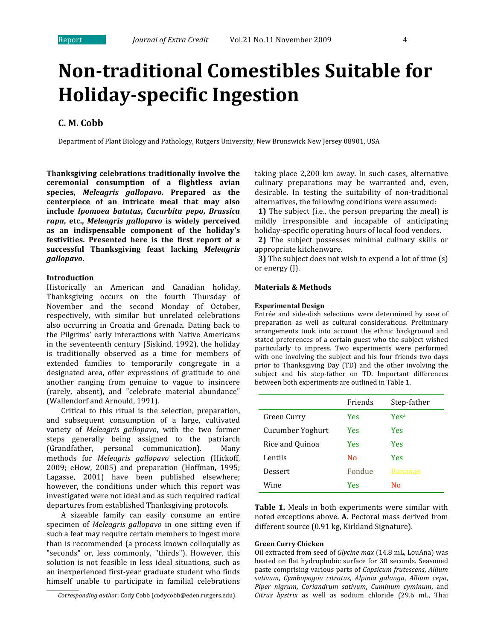# **Non-traditional Comestibles Suitable for Holidayspecific Ingestion**

# **C. M. Cobb**

Department of Plant Biology and Pathology, Rutgers University, New Brunswick New Jersey 08901, USA

**Thanksgiving celebrations traditionally involve the ceremonial consumption of a flightless avian species,**  *Meleagris gallopavo***. Prepared as the centerpiece of an intricate meal that may also include**  *Ipomoea batatas***,**  *Cucurbita pepo***,**  *Brassica rapa***, etc.,**  *Meleagris gallopavo*  **is widely perceived as an indispensable component of the holiday's festivities. Presented here is the first report of a successful Thanksgiving feast lacking**  *Meleagris gallopavo***.**

# **Introduction**

\_\_\_\_\_\_\_\_\_\_\_\_\_\_\_\_\_\_

Historically an American and Canadian holiday, Thanksgiving occurs on the fourth Thursday of November and the second Monday of October, respectively, with similar but unrelated celebrations also occurring in Croatia and Grenada. Dating back to the Pilgrims' early interactions with Native Americans in the seventeenth century (Siskind, 1992), the holiday is traditionally observed as a time for members of extended families to temporarily congregate in a designated area, offer expressions of gratitude to one another ranging from genuine to vague to insincere (rarely, absent), and "celebrate material abundance" (Wallendorf and Arnould, 1991).

Critical to this ritual is the selection, preparation, and subsequent consumption of a large, cultivated variety of *Meleagris gallopavo*, with the two former steps generally being assigned to the patriarch (Grandfather, personal communication). Many methods for *Meleagris gallopavo* selection (Hickoff, 2009; eHow, 2005) and preparation (Hoffman, 1995; Lagasse, 2001) have been published elsewhere; however, the conditions under which this report was investigated were not ideal and as such required radical departures from established Thanksgiving protocols.

A sizeable family can easily consume an entire specimen of *Meleagris gallopavo* in one sitting even if such a feat may require certain members to ingest more than is recommended (a process known colloquially as "seconds" or, less commonly, "thirds"). However, this solution is not feasible in less ideal situations, such as an inexperienced first‐year graduate student who finds himself unable to participate in familial celebrations

taking place 2,200 km away. In such cases, alternative culinary preparations may be warranted and, even, desirable. In testing the suitability of non-traditional alternatives, the following conditions were assumed:

**1)** The subject (i.e., the person preparing the meal) is mildly irresponsible and incapable of anticipating holiday‐specific operating hours of local food vendors.

 **2)** The subject possesses minimal culinary skills or appropriate kitchenware.

 **3)** The subject does not wish to expend a lot of time (s) or energy (J).

#### **Materials & Methods**

### **Experimental Design**

Entrée and side‐dish selections were determined by ease of preparation as well as cultural considerations. Preliminary arrangements took into account the ethnic background and stated preferences of a certain guest who the subject wished particularly to impress. Two experiments were performed with one involving the subject and his four friends two days prior to Thanksgiving Day (TD) and the other involving the subject and his step-father on TD. Important differences between both experiments are outlined in Table 1.

|                  | Friends | Step-father      |
|------------------|---------|------------------|
| Green Curry      | Yes     | Yes <sup>a</sup> |
| Cucumber Yoghurt | Yes     | <b>Yes</b>       |
| Rice and Ouinoa  | Yes     | <b>Yes</b>       |
| Lentils          | No      | <b>Yes</b>       |
| Dessert          | Fondue  | <b>Bananas</b>   |
| Wine             | Yes     | N٥               |

**Table 1.** Meals in both experiments were similar with noted exceptions above. **A.** Pectoral mass derived from different source (0.91 kg, Kirkland Signature).

#### **Green Curry Chicken**

Oil extracted from seed of *Glycine max* (14.8 mL, LouAna) was heated on flat hydrophobic surface for 30 seconds. Seasoned paste comprising various parts of *Capsicum frutescens*, *Allium sativum*, *Cymbopogon citratus*, *Alpinia galanga*, *Allium cepa*, *Piper nigrum*, *Coriandrum sativum*, *Cuminum cyminum*, and *Citrus hystrix* as well as sodium chloride (29.6 mL, Thai

*Corresponding author*: Cody Cobb (codycobb@eden.rutgers.edu).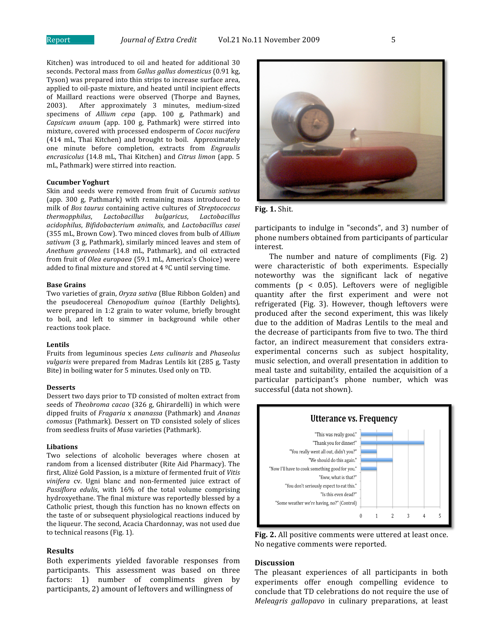Kitchen) was introduced to oil and heated for additional 30 seconds. Pectoral mass from *Gallus gallus domesticus* (0.91 kg, Tyson) was prepared into thin strips to increase surface area, applied to oil‐paste mixture, and heated until incipient effects of Maillard reactions were observed (Thorpe and Baynes, 2003). After approximately 3 minutes, medium‐sized specimens of *Allium cepa* (app. 100 g, Pathmark) and *Capsicum anuum*  (app. 100 g, Pathmark) were stirred into mixture, covered with processed endosperm of *Cocos nucifera* (414 mL, Thai Kitchen) and brought to boil. Approximately one minute before completion, extracts from *Engraulis encrasicolus* (14.8 mL, Thai Kitchen) and *Citrus limon* (app. 5 mL, Pathmark) were stirred into reaction.

# **Cucumber Yoghurt**

Skin and seeds were removed from fruit of *Cucumis sativus* (app. 300 g, Pathmark) with remaining mass introduced to milk of *Bos taurus* containing active cultures of *Streptococcus thermopphilus*, *Lactobacillus bulgaricus*, *Lactobacillus acidophilus*, *Bifidobacterium animalis*, and *Lactobacillus casei*  (355 mL, Brown Cow). Two minced cloves from bulb of *Allium sativum* (3 g, Pathmark), similarly minced leaves and stem of *Anethum graveolens* (14.8 mL, Pathmark), and oil extracted from fruit of *Olea europaea* (59.1 mL, America's Choice) were added to final mixture and stored at  $4 \degree C$  until serving time.

# **Base Grains**

Two varieties of grain, *Oryza sativa* (Blue Ribbon Golden) and the pseudocereal *Chenopodium quinoa*  (Earthly Delights)*,*  were prepared in 1:2 grain to water volume, briefly brought to boil, and left to simmer in background while other reactions took place.

# **Lentils**

Fruits from leguminous species *Lens culinaris* and *Phaseolus vulgaris* were prepared from Madras Lentils kit (285 g, Tasty Bite) in boiling water for 5 minutes. Used only on TD.

# **Desserts**

Dessert two days prior to TD consisted of molten extract from seeds of *Theobroma cacao* (326 g, Ghirardelli) in which were dipped fruits of *Fragaria* x *ananassa* (Pathmark) and *Ananas comosus* (Pathmark)*.* Dessert on TD consisted solely of slices from seedless fruits of *Musa* varieties (Pathmark).

#### **Libations**

Two selections of alcoholic beverages where chosen at random from a licensed distributer (Rite Aid Pharmacy). The first, Alizé Gold Passion, is a mixture of fermented fruit of *Vitis vinifera*  cv. Ugni blanc and non‐fermented juice extract of *Passiflora edulis*, with 16% of the total volume comprising hydroxyethane. The final mixture was reportedly blessed by a Catholic priest, though this function has no known effects on the taste of or subsequent physiological reactions induced by the liqueur. The second, Acacia Chardonnay, was not used due to technical reasons (Fig. 1).

### **Results**

Both experiments yielded favorable responses from participants. This assessment was based on three factors: 1) number of compliments given by participants, 2) amount of leftovers and willingness of





participants to indulge in "seconds", and 3) number of phone numbers obtained from participants of particular interest.

The number and nature of compliments (Fig. 2) were characteristic of both experiments. Especially noteworthy was the significant lack of negative comments ( $p < 0.05$ ). Leftovers were of negligible quantity after the first experiment and were not refrigerated (Fig. 3). However, though leftovers were produced after the second experiment, this was likely due to the addition of Madras Lentils to the meal and the decrease of participants from five to two. The third factor, an indirect measurement that considers extraexperimental concerns such as subject hospitality, music selection, and overall presentation in addition to meal taste and suitability, entailed the acquisition of a particular participant's phone number, which was successful (data not shown).



**Fig. 2.** All positive comments were uttered at least once. No negative comments were reported.

#### **Discussion**

The pleasant experiences of all participants in both experiments offer enough compelling evidence to conclude that TD celebrations do not require the use of *Meleagris gallopavo* in culinary preparations, at least